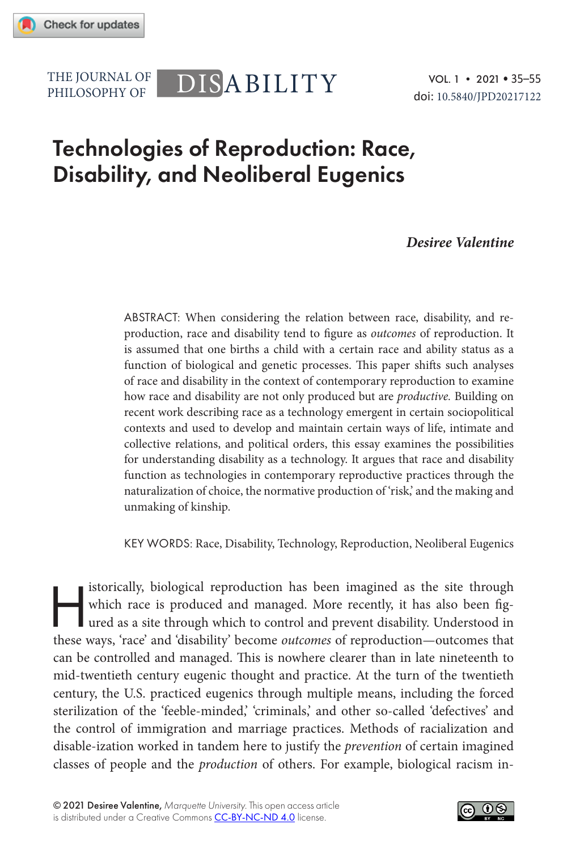PHILOSOPHY OF

# THE JOURNAL OF DISABILITY

## Technologies of Reproduction: Race, Disability, and Neoliberal Eugenics

### *Desiree Valentine*

ABSTRACT: When considering the relation between race, disability, and reproduction, race and disability tend to figure as *outcomes* of reproduction. It is assumed that one births a child with a certain race and ability status as a function of biological and genetic processes. This paper shifts such analyses of race and disability in the context of contemporary reproduction to examine how race and disability are not only produced but are *productive.* Building on recent work describing race as a technology emergent in certain sociopolitical contexts and used to develop and maintain certain ways of life, intimate and collective relations, and political orders, this essay examines the possibilities for understanding disability as a technology. It argues that race and disability function as technologies in contemporary reproductive practices through the naturalization of choice, the normative production of 'risk,' and the making and unmaking of kinship.

KEY WORDS: Race, Disability, Technology, Reproduction, Neoliberal Eugenics

istorically, biological reproduction has been imagined as the site through which race is produced and managed. More recently, it has also been figured as a site through which to control and prevent disability. Understood i which race is produced and managed. More recently, it has also been figured as a site through which to control and prevent disability. Understood in these ways, 'race' and 'disability' become *outcomes* of reproduction—outcomes that can be controlled and managed. This is nowhere clearer than in late nineteenth to mid-twentieth century eugenic thought and practice. At the turn of the twentieth century, the U.S. practiced eugenics through multiple means, including the forced sterilization of the 'feeble-minded,' 'criminals,' and other so-called 'defectives' and the control of immigration and marriage practices. Methods of racialization and disable-ization worked in tandem here to justify the *prevention* of certain imagined classes of people and the *production* of others. For example, biological racism in-

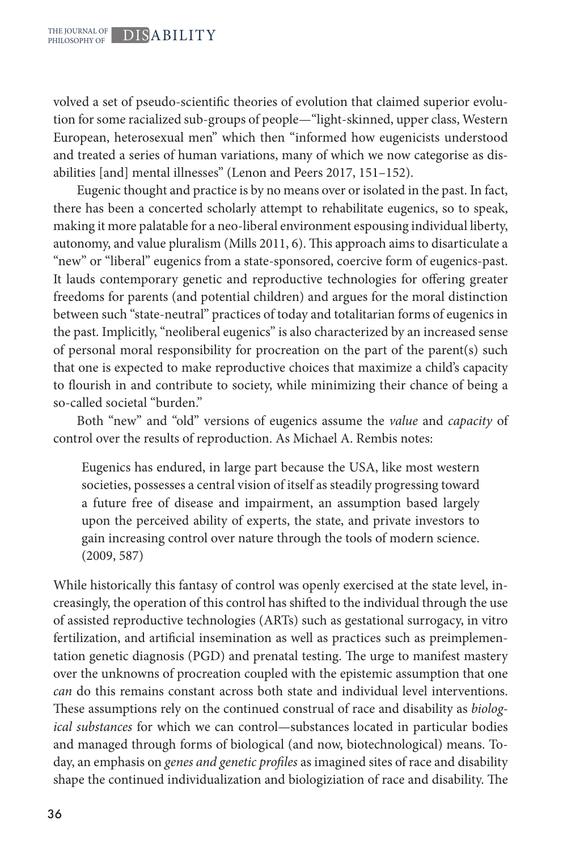volved a set of pseudo-scientific theories of evolution that claimed superior evolution for some racialized sub-groups of people—"light-skinned, upper class, Western European, heterosexual men" which then "informed how eugenicists understood and treated a series of human variations, many of which we now categorise as disabilities [and] mental illnesses" (Lenon and Peers 2017, 151–152).

Eugenic thought and practice is by no means over or isolated in the past. In fact, there has been a concerted scholarly attempt to rehabilitate eugenics, so to speak, making it more palatable for a neo-liberal environment espousing individual liberty, autonomy, and value pluralism (Mills 2011, 6). This approach aims to disarticulate a "new" or "liberal" eugenics from a state-sponsored, coercive form of eugenics-past. It lauds contemporary genetic and reproductive technologies for offering greater freedoms for parents (and potential children) and argues for the moral distinction between such "state-neutral" practices of today and totalitarian forms of eugenics in the past. Implicitly, "neoliberal eugenics" is also characterized by an increased sense of personal moral responsibility for procreation on the part of the parent(s) such that one is expected to make reproductive choices that maximize a child's capacity to flourish in and contribute to society, while minimizing their chance of being a so-called societal "burden."

Both "new" and "old" versions of eugenics assume the *value* and *capacity* of control over the results of reproduction. As Michael A. Rembis notes:

Eugenics has endured, in large part because the USA, like most western societies, possesses a central vision of itself as steadily progressing toward a future free of disease and impairment, an assumption based largely upon the perceived ability of experts, the state, and private investors to gain increasing control over nature through the tools of modern science. (2009, 587)

While historically this fantasy of control was openly exercised at the state level, increasingly, the operation of this control has shifted to the individual through the use of assisted reproductive technologies (ARTs) such as gestational surrogacy, in vitro fertilization, and artificial insemination as well as practices such as preimplementation genetic diagnosis (PGD) and prenatal testing. The urge to manifest mastery over the unknowns of procreation coupled with the epistemic assumption that one *can* do this remains constant across both state and individual level interventions. These assumptions rely on the continued construal of race and disability as *biological substances* for which we can control*—*substances located in particular bodies and managed through forms of biological (and now, biotechnological) means. Today, an emphasis on *genes and genetic profiles* as imagined sites of race and disability shape the continued individualization and biologiziation of race and disability. The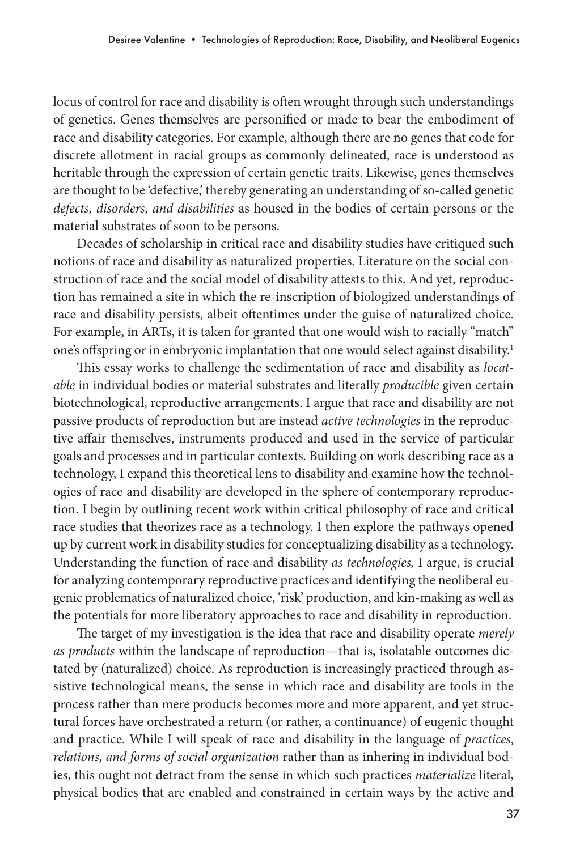locus of control for race and disability is often wrought through such understandings of genetics. Genes themselves are personified or made to bear the embodiment of race and disability categories. For example, although there are no genes that code for discrete allotment in racial groups as commonly delineated, race is understood as heritable through the expression of certain genetic traits. Likewise, genes themselves are thought to be 'defective,' thereby generating an understanding of so-called genetic *defects, disorders, and disabilities* as housed in the bodies of certain persons or the material substrates of soon to be persons.

Decades of scholarship in critical race and disability studies have critiqued such notions of race and disability as naturalized properties. Literature on the social construction of race and the social model of disability attests to this. And yet, reproduction has remained a site in which the re-inscription of biologized understandings of race and disability persists, albeit oftentimes under the guise of naturalized choice. For example, in ARTs, it is taken for granted that one would wish to racially "match" one's offspring or in embryonic implantation that one would select against disability.<sup>1</sup>

This essay works to challenge the sedimentation of race and disability as *locatable* in individual bodies or material substrates and literally *producible* given certain biotechnological, reproductive arrangements. I argue that race and disability are not passive products of reproduction but are instead *active technologies* in the reproductive affair themselves, instruments produced and used in the service of particular goals and processes and in particular contexts. Building on work describing race as a technology, I expand this theoretical lens to disability and examine how the technologies of race and disability are developed in the sphere of contemporary reproduction. I begin by outlining recent work within critical philosophy of race and critical race studies that theorizes race as a technology. I then explore the pathways opened up by current work in disability studies for conceptualizing disability as a technology. Understanding the function of race and disability *as technologies,* I argue, is crucial for analyzing contemporary reproductive practices and identifying the neoliberal eugenic problematics of naturalized choice, 'risk' production, and kin-making as well as the potentials for more liberatory approaches to race and disability in reproduction.

The target of my investigation is the idea that race and disability operate *merely as products* within the landscape of reproduction—that is, isolatable outcomes dictated by (naturalized) choice. As reproduction is increasingly practiced through assistive technological means, the sense in which race and disability are tools in the process rather than mere products becomes more and more apparent, and yet structural forces have orchestrated a return (or rather, a continuance) of eugenic thought and practice. While I will speak of race and disability in the language of *practices*, *relations, and forms of social organization* rather than as inhering in individual bodies, this ought not detract from the sense in which such practices *materialize* literal, physical bodies that are enabled and constrained in certain ways by the active and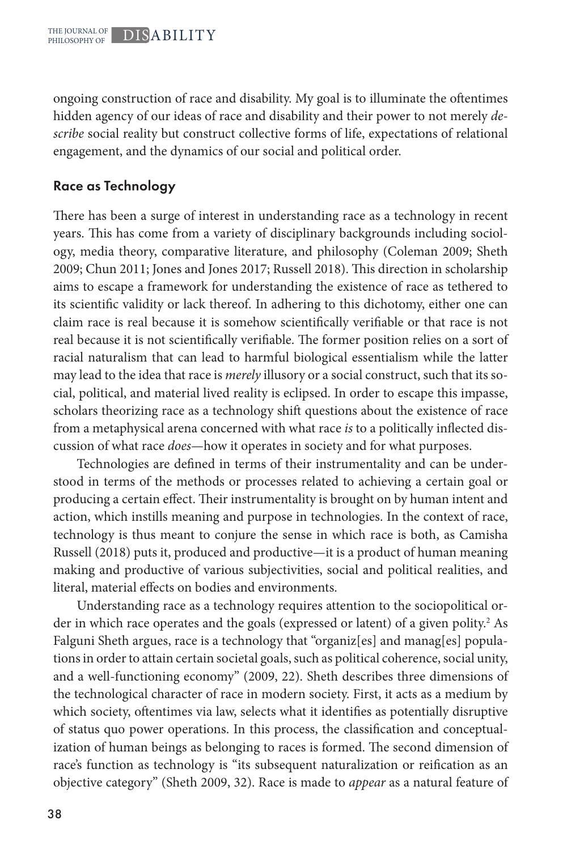ongoing construction of race and disability. My goal is to illuminate the oftentimes hidden agency of our ideas of race and disability and their power to not merely *describe* social reality but construct collective forms of life, expectations of relational engagement, and the dynamics of our social and political order.

## Race as Technology

There has been a surge of interest in understanding race as a technology in recent years. This has come from a variety of disciplinary backgrounds including sociology, media theory, comparative literature, and philosophy (Coleman 2009; Sheth 2009; Chun 2011; Jones and Jones 2017; Russell 2018). This direction in scholarship aims to escape a framework for understanding the existence of race as tethered to its scientific validity or lack thereof. In adhering to this dichotomy, either one can claim race is real because it is somehow scientifically verifiable or that race is not real because it is not scientifically verifiable. The former position relies on a sort of racial naturalism that can lead to harmful biological essentialism while the latter may lead to the idea that race is *merely* illusory or a social construct, such that its social, political, and material lived reality is eclipsed. In order to escape this impasse, scholars theorizing race as a technology shift questions about the existence of race from a metaphysical arena concerned with what race *is* to a politically inflected discussion of what race *does—*how it operates in society and for what purposes.

Technologies are defined in terms of their instrumentality and can be understood in terms of the methods or processes related to achieving a certain goal or producing a certain effect. Their instrumentality is brought on by human intent and action, which instills meaning and purpose in technologies. In the context of race, technology is thus meant to conjure the sense in which race is both, as Camisha Russell (2018) puts it, produced and productive—it is a product of human meaning making and productive of various subjectivities, social and political realities, and literal, material effects on bodies and environments.

Understanding race as a technology requires attention to the sociopolitical order in which race operates and the goals (expressed or latent) of a given polity.<sup>2</sup> As Falguni Sheth argues, race is a technology that "organiz[es] and manag[es] populations in order to attain certain societal goals, such as political coherence, social unity, and a well-functioning economy" (2009, 22). Sheth describes three dimensions of the technological character of race in modern society. First, it acts as a medium by which society, oftentimes via law, selects what it identifies as potentially disruptive of status quo power operations. In this process, the classification and conceptualization of human beings as belonging to races is formed. The second dimension of race's function as technology is "its subsequent naturalization or reification as an objective category" (Sheth 2009, 32). Race is made to *appear* as a natural feature of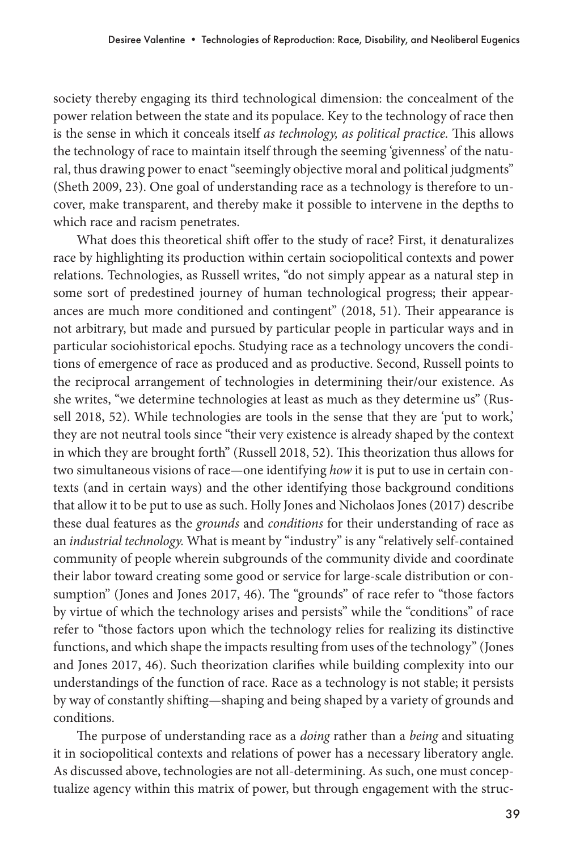society thereby engaging its third technological dimension: the concealment of the power relation between the state and its populace. Key to the technology of race then is the sense in which it conceals itself *as technology, as political practice.* This allows the technology of race to maintain itself through the seeming 'givenness' of the natural, thus drawing power to enact "seemingly objective moral and political judgments" (Sheth 2009, 23). One goal of understanding race as a technology is therefore to uncover, make transparent, and thereby make it possible to intervene in the depths to which race and racism penetrates.

What does this theoretical shift offer to the study of race? First, it denaturalizes race by highlighting its production within certain sociopolitical contexts and power relations. Technologies, as Russell writes, "do not simply appear as a natural step in some sort of predestined journey of human technological progress; their appearances are much more conditioned and contingent" (2018, 51). Their appearance is not arbitrary, but made and pursued by particular people in particular ways and in particular sociohistorical epochs. Studying race as a technology uncovers the conditions of emergence of race as produced and as productive. Second, Russell points to the reciprocal arrangement of technologies in determining their/our existence. As she writes, "we determine technologies at least as much as they determine us" (Russell 2018, 52). While technologies are tools in the sense that they are 'put to work,' they are not neutral tools since "their very existence is already shaped by the context in which they are brought forth" (Russell 2018, 52). This theorization thus allows for two simultaneous visions of race—one identifying *how* it is put to use in certain contexts (and in certain ways) and the other identifying those background conditions that allow it to be put to use as such. Holly Jones and Nicholaos Jones (2017) describe these dual features as the *grounds* and *conditions* for their understanding of race as an *industrial technology.* What is meant by "industry" is any "relatively self-contained community of people wherein subgrounds of the community divide and coordinate their labor toward creating some good or service for large-scale distribution or consumption" (Jones and Jones 2017, 46). The "grounds" of race refer to "those factors by virtue of which the technology arises and persists" while the "conditions" of race refer to "those factors upon which the technology relies for realizing its distinctive functions, and which shape the impacts resulting from uses of the technology" (Jones and Jones 2017, 46). Such theorization clarifies while building complexity into our understandings of the function of race. Race as a technology is not stable; it persists by way of constantly shifting—shaping and being shaped by a variety of grounds and conditions.

The purpose of understanding race as a *doing* rather than a *being* and situating it in sociopolitical contexts and relations of power has a necessary liberatory angle. As discussed above, technologies are not all-determining. As such, one must conceptualize agency within this matrix of power, but through engagement with the struc-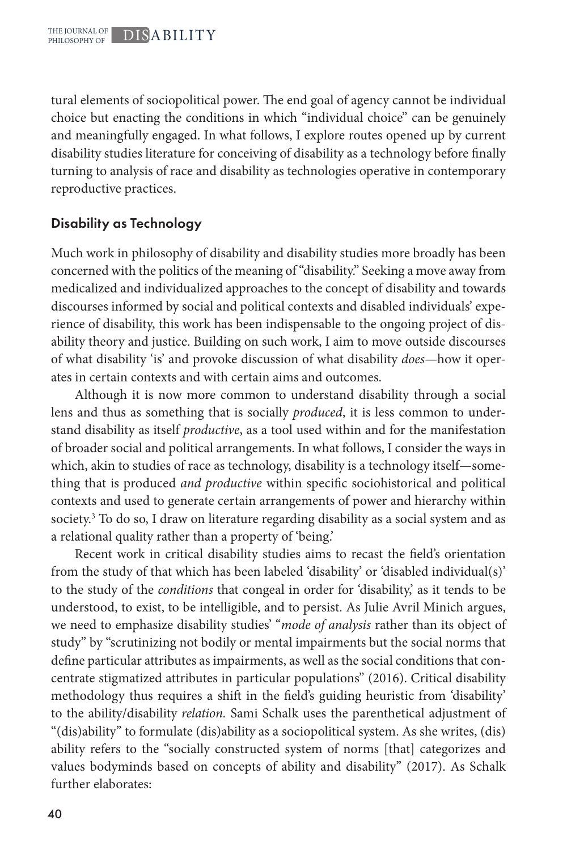tural elements of sociopolitical power. The end goal of agency cannot be individual choice but enacting the conditions in which "individual choice" can be genuinely and meaningfully engaged. In what follows, I explore routes opened up by current disability studies literature for conceiving of disability as a technology before finally turning to analysis of race and disability as technologies operative in contemporary reproductive practices.

## Disability as Technology

Much work in philosophy of disability and disability studies more broadly has been concerned with the politics of the meaning of "disability." Seeking a move away from medicalized and individualized approaches to the concept of disability and towards discourses informed by social and political contexts and disabled individuals' experience of disability, this work has been indispensable to the ongoing project of disability theory and justice. Building on such work, I aim to move outside discourses of what disability 'is' and provoke discussion of what disability *does—*how it operates in certain contexts and with certain aims and outcomes.

Although it is now more common to understand disability through a social lens and thus as something that is socially *produced*, it is less common to understand disability as itself *productive*, as a tool used within and for the manifestation of broader social and political arrangements. In what follows, I consider the ways in which, akin to studies of race as technology, disability is a technology itself—something that is produced *and productive* within specific sociohistorical and political contexts and used to generate certain arrangements of power and hierarchy within society.<sup>3</sup> To do so, I draw on literature regarding disability as a social system and as a relational quality rather than a property of 'being.'

Recent work in critical disability studies aims to recast the field's orientation from the study of that which has been labeled 'disability' or 'disabled individual(s)' to the study of the *conditions* that congeal in order for 'disability,' as it tends to be understood, to exist, to be intelligible, and to persist. As Julie Avril Minich argues, we need to emphasize disability studies' "*mode of analysis* rather than its object of study" by "scrutinizing not bodily or mental impairments but the social norms that define particular attributes as impairments, as well as the social conditions that concentrate stigmatized attributes in particular populations" (2016). Critical disability methodology thus requires a shift in the field's guiding heuristic from 'disability' to the ability/disability *relation.* Sami Schalk uses the parenthetical adjustment of "(dis)ability" to formulate (dis)ability as a sociopolitical system. As she writes, (dis) ability refers to the "socially constructed system of norms [that] categorizes and values bodyminds based on concepts of ability and disability" (2017). As Schalk further elaborates: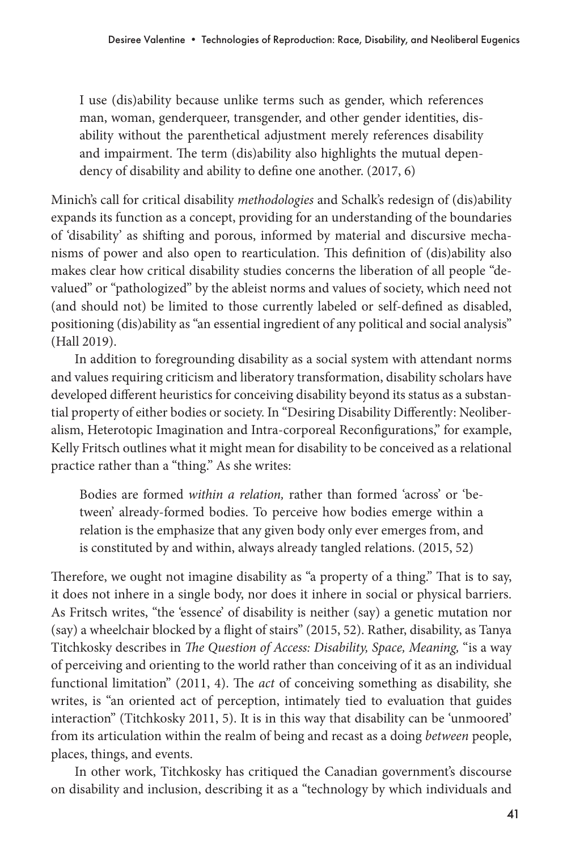I use (dis)ability because unlike terms such as gender, which references man, woman, genderqueer, transgender, and other gender identities, disability without the parenthetical adjustment merely references disability and impairment. The term (dis)ability also highlights the mutual dependency of disability and ability to define one another. (2017, 6)

Minich's call for critical disability *methodologies* and Schalk's redesign of (dis)ability expands its function as a concept, providing for an understanding of the boundaries of 'disability' as shifting and porous, informed by material and discursive mechanisms of power and also open to rearticulation. This definition of (dis)ability also makes clear how critical disability studies concerns the liberation of all people "devalued" or "pathologized" by the ableist norms and values of society, which need not (and should not) be limited to those currently labeled or self-defined as disabled, positioning (dis)ability as "an essential ingredient of any political and social analysis" (Hall 2019).

In addition to foregrounding disability as a social system with attendant norms and values requiring criticism and liberatory transformation, disability scholars have developed different heuristics for conceiving disability beyond its status as a substantial property of either bodies or society. In "Desiring Disability Differently: Neoliberalism, Heterotopic Imagination and Intra-corporeal Reconfigurations," for example, Kelly Fritsch outlines what it might mean for disability to be conceived as a relational practice rather than a "thing." As she writes:

Bodies are formed *within a relation,* rather than formed 'across' or 'between' already-formed bodies. To perceive how bodies emerge within a relation is the emphasize that any given body only ever emerges from, and is constituted by and within, always already tangled relations. (2015, 52)

Therefore, we ought not imagine disability as "a property of a thing." That is to say, it does not inhere in a single body, nor does it inhere in social or physical barriers. As Fritsch writes, "the 'essence' of disability is neither (say) a genetic mutation nor (say) a wheelchair blocked by a flight of stairs" (2015, 52). Rather, disability, as Tanya Titchkosky describes in *The Question of Access: Disability, Space, Meaning,* "is a way of perceiving and orienting to the world rather than conceiving of it as an individual functional limitation" (2011, 4). The *act* of conceiving something as disability, she writes, is "an oriented act of perception, intimately tied to evaluation that guides interaction" (Titchkosky 2011, 5). It is in this way that disability can be 'unmoored' from its articulation within the realm of being and recast as a doing *between* people, places, things, and events.

In other work, Titchkosky has critiqued the Canadian government's discourse on disability and inclusion, describing it as a "technology by which individuals and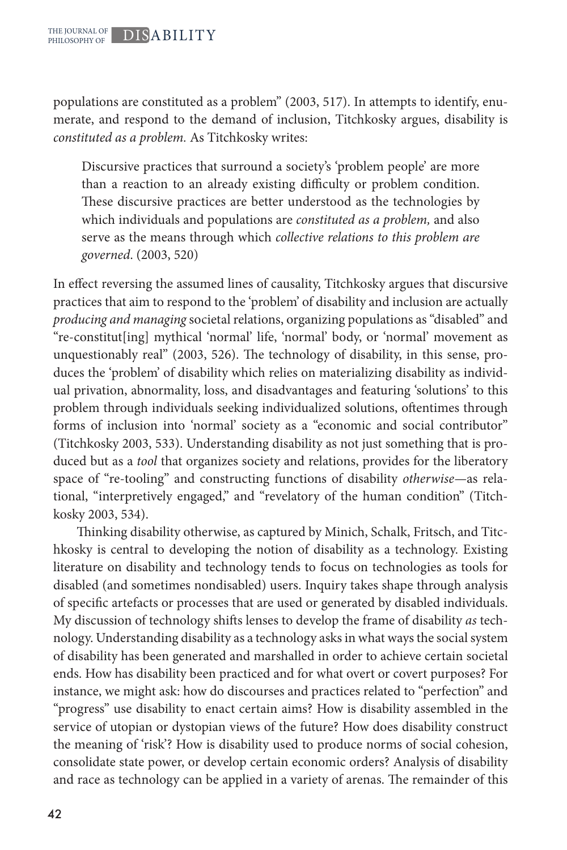populations are constituted as a problem" (2003, 517). In attempts to identify, enumerate, and respond to the demand of inclusion, Titchkosky argues, disability is *constituted as a problem.* As Titchkosky writes:

Discursive practices that surround a society's 'problem people' are more than a reaction to an already existing difficulty or problem condition. These discursive practices are better understood as the technologies by which individuals and populations are *constituted as a problem,* and also serve as the means through which *collective relations to this problem are governed*. (2003, 520)

In effect reversing the assumed lines of causality, Titchkosky argues that discursive practices that aim to respond to the 'problem' of disability and inclusion are actually *producing and managing* societal relations, organizing populations as "disabled" and "re-constitut[ing] mythical 'normal' life, 'normal' body, or 'normal' movement as unquestionably real" (2003, 526). The technology of disability, in this sense, produces the 'problem' of disability which relies on materializing disability as individual privation, abnormality, loss, and disadvantages and featuring 'solutions' to this problem through individuals seeking individualized solutions, oftentimes through forms of inclusion into 'normal' society as a "economic and social contributor" (Titchkosky 2003, 533). Understanding disability as not just something that is produced but as a *tool* that organizes society and relations, provides for the liberatory space of "re-tooling" and constructing functions of disability *otherwise—*as relational, "interpretively engaged," and "revelatory of the human condition" (Titchkosky 2003, 534).

Thinking disability otherwise, as captured by Minich, Schalk, Fritsch, and Titchkosky is central to developing the notion of disability as a technology. Existing literature on disability and technology tends to focus on technologies as tools for disabled (and sometimes nondisabled) users. Inquiry takes shape through analysis of specific artefacts or processes that are used or generated by disabled individuals. My discussion of technology shifts lenses to develop the frame of disability *as* technology. Understanding disability as a technology asks in what ways the social system of disability has been generated and marshalled in order to achieve certain societal ends. How has disability been practiced and for what overt or covert purposes? For instance, we might ask: how do discourses and practices related to "perfection" and "progress" use disability to enact certain aims? How is disability assembled in the service of utopian or dystopian views of the future? How does disability construct the meaning of 'risk'? How is disability used to produce norms of social cohesion, consolidate state power, or develop certain economic orders? Analysis of disability and race as technology can be applied in a variety of arenas. The remainder of this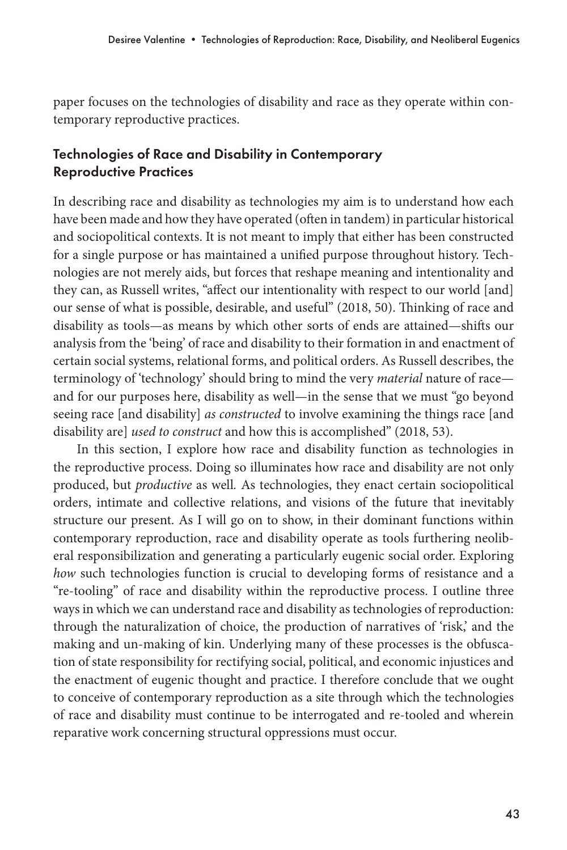paper focuses on the technologies of disability and race as they operate within contemporary reproductive practices.

## Technologies of Race and Disability in Contemporary Reproductive Practices

In describing race and disability as technologies my aim is to understand how each have been made and how they have operated (often in tandem) in particular historical and sociopolitical contexts. It is not meant to imply that either has been constructed for a single purpose or has maintained a unified purpose throughout history. Technologies are not merely aids, but forces that reshape meaning and intentionality and they can, as Russell writes, "affect our intentionality with respect to our world [and] our sense of what is possible, desirable, and useful" (2018, 50). Thinking of race and disability as tools—as means by which other sorts of ends are attained—shifts our analysis from the 'being' of race and disability to their formation in and enactment of certain social systems, relational forms, and political orders. As Russell describes, the terminology of 'technology' should bring to mind the very *material* nature of race and for our purposes here, disability as well—in the sense that we must "go beyond seeing race [and disability] *as constructed* to involve examining the things race [and disability are] *used to construct* and how this is accomplished" (2018, 53).

In this section, I explore how race and disability function as technologies in the reproductive process. Doing so illuminates how race and disability are not only produced, but *productive* as well*.* As technologies, they enact certain sociopolitical orders, intimate and collective relations, and visions of the future that inevitably structure our present. As I will go on to show, in their dominant functions within contemporary reproduction, race and disability operate as tools furthering neoliberal responsibilization and generating a particularly eugenic social order. Exploring *how* such technologies function is crucial to developing forms of resistance and a "re-tooling" of race and disability within the reproductive process. I outline three ways in which we can understand race and disability as technologies of reproduction: through the naturalization of choice, the production of narratives of 'risk,' and the making and un-making of kin. Underlying many of these processes is the obfuscation of state responsibility for rectifying social, political, and economic injustices and the enactment of eugenic thought and practice. I therefore conclude that we ought to conceive of contemporary reproduction as a site through which the technologies of race and disability must continue to be interrogated and re-tooled and wherein reparative work concerning structural oppressions must occur.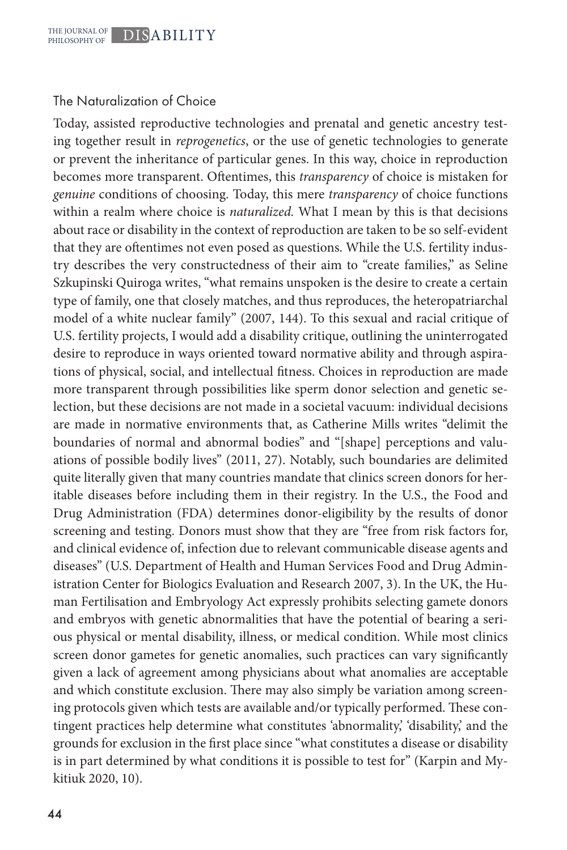#### The Naturalization of Choice

Today, assisted reproductive technologies and prenatal and genetic ancestry testing together result in *reprogenetics*, or the use of genetic technologies to generate or prevent the inheritance of particular genes. In this way, choice in reproduction becomes more transparent. Oftentimes, this *transparency* of choice is mistaken for *genuine* conditions of choosing. Today, this mere *transparency* of choice functions within a realm where choice is *naturalized.* What I mean by this is that decisions about race or disability in the context of reproduction are taken to be so self-evident that they are oftentimes not even posed as questions. While the U.S. fertility industry describes the very constructedness of their aim to "create families," as Seline Szkupinski Quiroga writes, "what remains unspoken is the desire to create a certain type of family, one that closely matches, and thus reproduces, the heteropatriarchal model of a white nuclear family" (2007, 144). To this sexual and racial critique of U.S. fertility projects, I would add a disability critique, outlining the uninterrogated desire to reproduce in ways oriented toward normative ability and through aspirations of physical, social, and intellectual fitness. Choices in reproduction are made more transparent through possibilities like sperm donor selection and genetic selection, but these decisions are not made in a societal vacuum: individual decisions are made in normative environments that, as Catherine Mills writes "delimit the boundaries of normal and abnormal bodies" and "[shape] perceptions and valuations of possible bodily lives" (2011, 27). Notably, such boundaries are delimited quite literally given that many countries mandate that clinics screen donors for heritable diseases before including them in their registry. In the U.S., the Food and Drug Administration (FDA) determines donor-eligibility by the results of donor screening and testing. Donors must show that they are "free from risk factors for, and clinical evidence of, infection due to relevant communicable disease agents and diseases" (U.S. Department of Health and Human Services Food and Drug Administration Center for Biologics Evaluation and Research 2007, 3). In the UK, the Human Fertilisation and Embryology Act expressly prohibits selecting gamete donors and embryos with genetic abnormalities that have the potential of bearing a serious physical or mental disability, illness, or medical condition. While most clinics screen donor gametes for genetic anomalies, such practices can vary significantly given a lack of agreement among physicians about what anomalies are acceptable and which constitute exclusion. There may also simply be variation among screening protocols given which tests are available and/or typically performed. These contingent practices help determine what constitutes 'abnormality,' 'disability,' and the grounds for exclusion in the first place since "what constitutes a disease or disability is in part determined by what conditions it is possible to test for" (Karpin and Mykitiuk 2020, 10).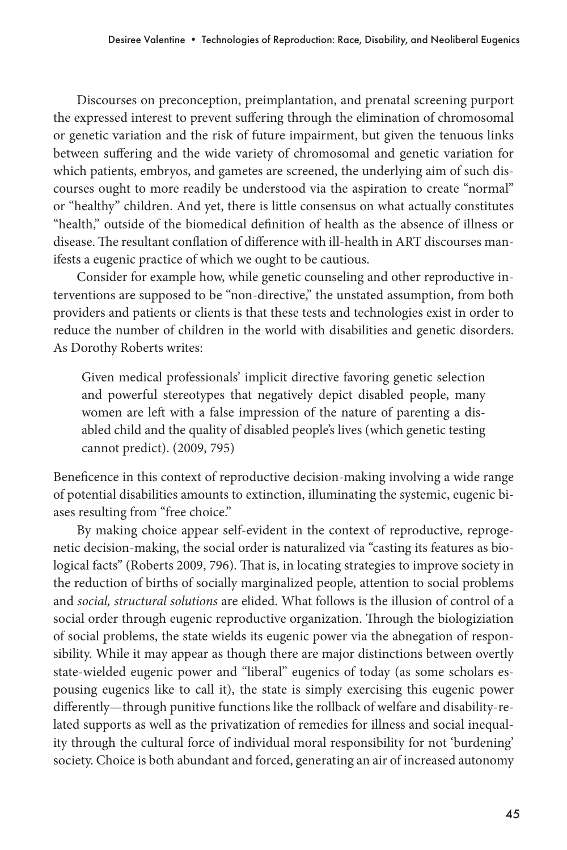Discourses on preconception, preimplantation, and prenatal screening purport the expressed interest to prevent suffering through the elimination of chromosomal or genetic variation and the risk of future impairment, but given the tenuous links between suffering and the wide variety of chromosomal and genetic variation for which patients, embryos, and gametes are screened, the underlying aim of such discourses ought to more readily be understood via the aspiration to create "normal" or "healthy" children. And yet, there is little consensus on what actually constitutes "health," outside of the biomedical definition of health as the absence of illness or disease. The resultant conflation of difference with ill-health in ART discourses manifests a eugenic practice of which we ought to be cautious.

Consider for example how, while genetic counseling and other reproductive interventions are supposed to be "non-directive," the unstated assumption, from both providers and patients or clients is that these tests and technologies exist in order to reduce the number of children in the world with disabilities and genetic disorders. As Dorothy Roberts writes:

Given medical professionals' implicit directive favoring genetic selection and powerful stereotypes that negatively depict disabled people, many women are left with a false impression of the nature of parenting a disabled child and the quality of disabled people's lives (which genetic testing cannot predict). (2009, 795)

Beneficence in this context of reproductive decision-making involving a wide range of potential disabilities amounts to extinction, illuminating the systemic, eugenic biases resulting from "free choice."

By making choice appear self-evident in the context of reproductive, reprogenetic decision-making, the social order is naturalized via "casting its features as biological facts" (Roberts 2009, 796). That is, in locating strategies to improve society in the reduction of births of socially marginalized people, attention to social problems and *social, structural solutions* are elided. What follows is the illusion of control of a social order through eugenic reproductive organization. Through the biologiziation of social problems, the state wields its eugenic power via the abnegation of responsibility. While it may appear as though there are major distinctions between overtly state-wielded eugenic power and "liberal" eugenics of today (as some scholars espousing eugenics like to call it), the state is simply exercising this eugenic power differently—through punitive functions like the rollback of welfare and disability-related supports as well as the privatization of remedies for illness and social inequality through the cultural force of individual moral responsibility for not 'burdening' society. Choice is both abundant and forced, generating an air of increased autonomy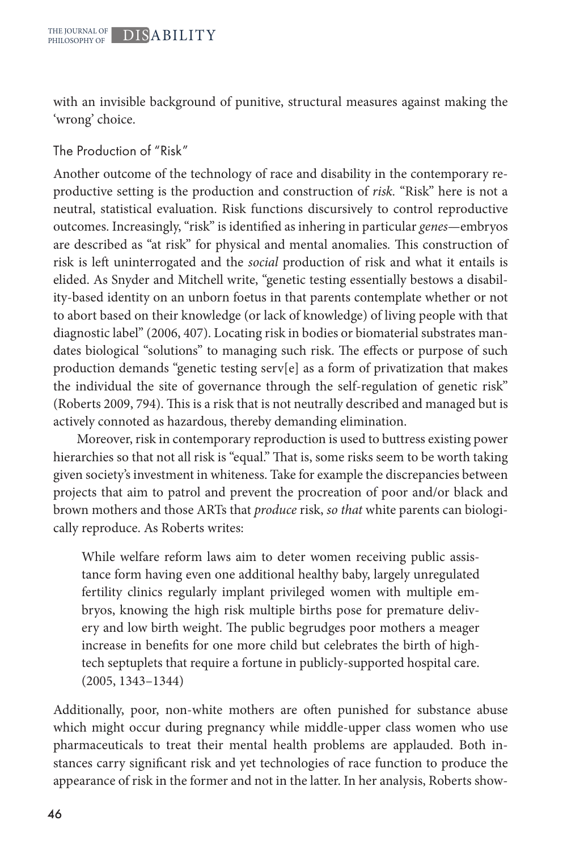with an invisible background of punitive, structural measures against making the 'wrong' choice.

The Production of "Risk"

Another outcome of the technology of race and disability in the contemporary reproductive setting is the production and construction of *risk.* "Risk" here is not a neutral, statistical evaluation. Risk functions discursively to control reproductive outcomes. Increasingly, "risk" is identified as inhering in particular *genes—*embryos are described as "at risk" for physical and mental anomalies*.* This construction of risk is left uninterrogated and the *social* production of risk and what it entails is elided. As Snyder and Mitchell write, "genetic testing essentially bestows a disability-based identity on an unborn foetus in that parents contemplate whether or not to abort based on their knowledge (or lack of knowledge) of living people with that diagnostic label" (2006, 407). Locating risk in bodies or biomaterial substrates mandates biological "solutions" to managing such risk. The effects or purpose of such production demands "genetic testing serv[e] as a form of privatization that makes the individual the site of governance through the self-regulation of genetic risk" (Roberts 2009, 794). This is a risk that is not neutrally described and managed but is actively connoted as hazardous, thereby demanding elimination.

Moreover, risk in contemporary reproduction is used to buttress existing power hierarchies so that not all risk is "equal." That is, some risks seem to be worth taking given society's investment in whiteness. Take for example the discrepancies between projects that aim to patrol and prevent the procreation of poor and/or black and brown mothers and those ARTs that *produce* risk, *so that* white parents can biologically reproduce. As Roberts writes:

While welfare reform laws aim to deter women receiving public assistance form having even one additional healthy baby, largely unregulated fertility clinics regularly implant privileged women with multiple embryos, knowing the high risk multiple births pose for premature delivery and low birth weight. The public begrudges poor mothers a meager increase in benefits for one more child but celebrates the birth of hightech septuplets that require a fortune in publicly-supported hospital care. (2005, 1343–1344)

Additionally, poor, non-white mothers are often punished for substance abuse which might occur during pregnancy while middle-upper class women who use pharmaceuticals to treat their mental health problems are applauded. Both instances carry significant risk and yet technologies of race function to produce the appearance of risk in the former and not in the latter. In her analysis, Roberts show-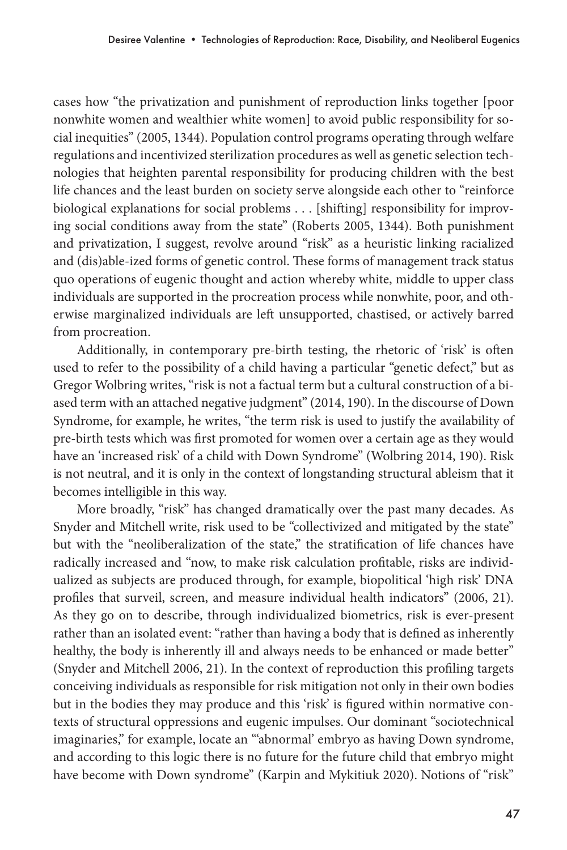cases how "the privatization and punishment of reproduction links together [poor nonwhite women and wealthier white women] to avoid public responsibility for social inequities" (2005, 1344). Population control programs operating through welfare regulations and incentivized sterilization procedures as well as genetic selection technologies that heighten parental responsibility for producing children with the best life chances and the least burden on society serve alongside each other to "reinforce biological explanations for social problems . . . [shifting] responsibility for improving social conditions away from the state" (Roberts 2005, 1344). Both punishment and privatization, I suggest, revolve around "risk" as a heuristic linking racialized and (dis)able-ized forms of genetic control. These forms of management track status quo operations of eugenic thought and action whereby white, middle to upper class individuals are supported in the procreation process while nonwhite, poor, and otherwise marginalized individuals are left unsupported, chastised, or actively barred from procreation.

Additionally, in contemporary pre-birth testing, the rhetoric of 'risk' is often used to refer to the possibility of a child having a particular "genetic defect," but as Gregor Wolbring writes, "risk is not a factual term but a cultural construction of a biased term with an attached negative judgment" (2014, 190). In the discourse of Down Syndrome, for example, he writes, "the term risk is used to justify the availability of pre-birth tests which was first promoted for women over a certain age as they would have an 'increased risk' of a child with Down Syndrome" (Wolbring 2014, 190). Risk is not neutral, and it is only in the context of longstanding structural ableism that it becomes intelligible in this way.

More broadly, "risk" has changed dramatically over the past many decades. As Snyder and Mitchell write, risk used to be "collectivized and mitigated by the state" but with the "neoliberalization of the state," the stratification of life chances have radically increased and "now, to make risk calculation profitable, risks are individualized as subjects are produced through, for example, biopolitical 'high risk' DNA profiles that surveil, screen, and measure individual health indicators" (2006, 21). As they go on to describe, through individualized biometrics, risk is ever-present rather than an isolated event: "rather than having a body that is defined as inherently healthy, the body is inherently ill and always needs to be enhanced or made better" (Snyder and Mitchell 2006, 21). In the context of reproduction this profiling targets conceiving individuals as responsible for risk mitigation not only in their own bodies but in the bodies they may produce and this 'risk' is figured within normative contexts of structural oppressions and eugenic impulses. Our dominant "sociotechnical imaginaries," for example, locate an "'abnormal' embryo as having Down syndrome, and according to this logic there is no future for the future child that embryo might have become with Down syndrome" (Karpin and Mykitiuk 2020). Notions of "risk"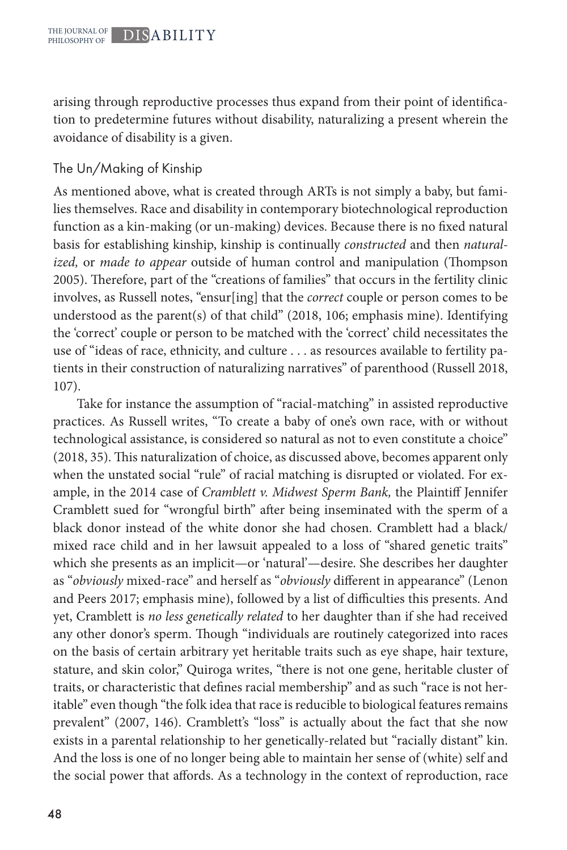arising through reproductive processes thus expand from their point of identification to predetermine futures without disability, naturalizing a present wherein the avoidance of disability is a given.

## The Un/Making of Kinship

As mentioned above, what is created through ARTs is not simply a baby, but families themselves. Race and disability in contemporary biotechnological reproduction function as a kin-making (or un-making) devices. Because there is no fixed natural basis for establishing kinship, kinship is continually *constructed* and then *naturalized,* or *made to appear* outside of human control and manipulation (Thompson 2005). Therefore, part of the "creations of families" that occurs in the fertility clinic involves, as Russell notes, "ensur[ing] that the *correct* couple or person comes to be understood as the parent(s) of that child" (2018, 106; emphasis mine). Identifying the 'correct' couple or person to be matched with the 'correct' child necessitates the use of "ideas of race, ethnicity, and culture . . . as resources available to fertility patients in their construction of naturalizing narratives" of parenthood (Russell 2018, 107).

Take for instance the assumption of "racial-matching" in assisted reproductive practices. As Russell writes, "To create a baby of one's own race, with or without technological assistance, is considered so natural as not to even constitute a choice" (2018, 35). This naturalization of choice, as discussed above, becomes apparent only when the unstated social "rule" of racial matching is disrupted or violated. For example, in the 2014 case of *Cramblett v. Midwest Sperm Bank,* the Plaintiff Jennifer Cramblett sued for "wrongful birth" after being inseminated with the sperm of a black donor instead of the white donor she had chosen. Cramblett had a black/ mixed race child and in her lawsuit appealed to a loss of "shared genetic traits" which she presents as an implicit—or 'natural'—desire. She describes her daughter as "*obviously* mixed-race" and herself as "*obviously* different in appearance" (Lenon and Peers 2017; emphasis mine), followed by a list of difficulties this presents. And yet, Cramblett is *no less genetically related* to her daughter than if she had received any other donor's sperm. Though "individuals are routinely categorized into races on the basis of certain arbitrary yet heritable traits such as eye shape, hair texture, stature, and skin color," Quiroga writes, "there is not one gene, heritable cluster of traits, or characteristic that defines racial membership" and as such "race is not heritable" even though "the folk idea that race is reducible to biological features remains prevalent" (2007, 146). Cramblett's "loss" is actually about the fact that she now exists in a parental relationship to her genetically-related but "racially distant" kin. And the loss is one of no longer being able to maintain her sense of (white) self and the social power that affords. As a technology in the context of reproduction, race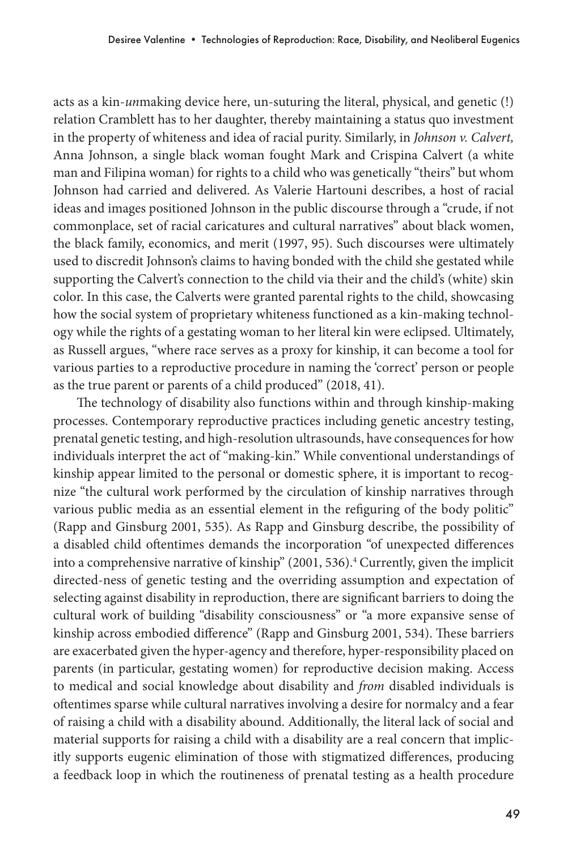acts as a kin-*un*making device here, un-suturing the literal, physical, and genetic (!) relation Cramblett has to her daughter, thereby maintaining a status quo investment in the property of whiteness and idea of racial purity. Similarly, in *Johnson v. Calvert,*  Anna Johnson, a single black woman fought Mark and Crispina Calvert (a white man and Filipina woman) for rights to a child who was genetically "theirs" but whom Johnson had carried and delivered. As Valerie Hartouni describes, a host of racial ideas and images positioned Johnson in the public discourse through a "crude, if not commonplace, set of racial caricatures and cultural narratives" about black women, the black family, economics, and merit (1997, 95). Such discourses were ultimately used to discredit Johnson's claims to having bonded with the child she gestated while supporting the Calvert's connection to the child via their and the child's (white) skin color. In this case, the Calverts were granted parental rights to the child, showcasing how the social system of proprietary whiteness functioned as a kin-making technology while the rights of a gestating woman to her literal kin were eclipsed. Ultimately, as Russell argues, "where race serves as a proxy for kinship, it can become a tool for various parties to a reproductive procedure in naming the 'correct' person or people as the true parent or parents of a child produced" (2018, 41).

The technology of disability also functions within and through kinship-making processes. Contemporary reproductive practices including genetic ancestry testing, prenatal genetic testing, and high-resolution ultrasounds, have consequences for how individuals interpret the act of "making-kin." While conventional understandings of kinship appear limited to the personal or domestic sphere, it is important to recognize "the cultural work performed by the circulation of kinship narratives through various public media as an essential element in the refiguring of the body politic" (Rapp and Ginsburg 2001, 535). As Rapp and Ginsburg describe, the possibility of a disabled child oftentimes demands the incorporation "of unexpected differences into a comprehensive narrative of kinship" (2001, 536).<sup>4</sup> Currently, given the implicit directed-ness of genetic testing and the overriding assumption and expectation of selecting against disability in reproduction, there are significant barriers to doing the cultural work of building "disability consciousness" or "a more expansive sense of kinship across embodied difference" (Rapp and Ginsburg 2001, 534). These barriers are exacerbated given the hyper-agency and therefore, hyper-responsibility placed on parents (in particular, gestating women) for reproductive decision making. Access to medical and social knowledge about disability and *from* disabled individuals is oftentimes sparse while cultural narratives involving a desire for normalcy and a fear of raising a child with a disability abound. Additionally, the literal lack of social and material supports for raising a child with a disability are a real concern that implicitly supports eugenic elimination of those with stigmatized differences, producing a feedback loop in which the routineness of prenatal testing as a health procedure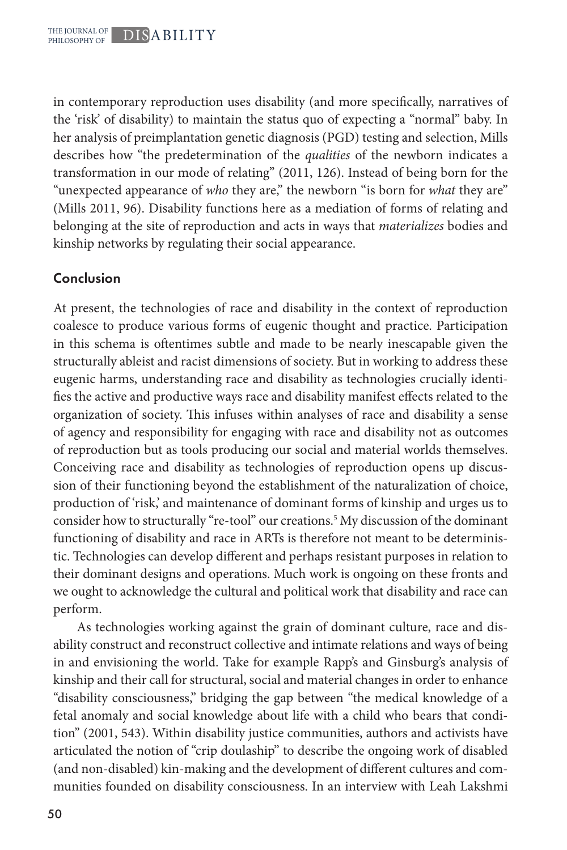in contemporary reproduction uses disability (and more specifically, narratives of the 'risk' of disability) to maintain the status quo of expecting a "normal" baby. In her analysis of preimplantation genetic diagnosis (PGD) testing and selection, Mills describes how "the predetermination of the *qualities* of the newborn indicates a transformation in our mode of relating" (2011, 126). Instead of being born for the "unexpected appearance of *who* they are," the newborn "is born for *what* they are" (Mills 2011, 96). Disability functions here as a mediation of forms of relating and belonging at the site of reproduction and acts in ways that *materializes* bodies and kinship networks by regulating their social appearance.

## Conclusion

At present, the technologies of race and disability in the context of reproduction coalesce to produce various forms of eugenic thought and practice. Participation in this schema is oftentimes subtle and made to be nearly inescapable given the structurally ableist and racist dimensions of society. But in working to address these eugenic harms, understanding race and disability as technologies crucially identifies the active and productive ways race and disability manifest effects related to the organization of society. This infuses within analyses of race and disability a sense of agency and responsibility for engaging with race and disability not as outcomes of reproduction but as tools producing our social and material worlds themselves. Conceiving race and disability as technologies of reproduction opens up discussion of their functioning beyond the establishment of the naturalization of choice, production of 'risk,' and maintenance of dominant forms of kinship and urges us to consider how to structurally "re-tool" our creations.5 My discussion of the dominant functioning of disability and race in ARTs is therefore not meant to be deterministic. Technologies can develop different and perhaps resistant purposes in relation to their dominant designs and operations. Much work is ongoing on these fronts and we ought to acknowledge the cultural and political work that disability and race can perform.

As technologies working against the grain of dominant culture, race and disability construct and reconstruct collective and intimate relations and ways of being in and envisioning the world. Take for example Rapp's and Ginsburg's analysis of kinship and their call for structural, social and material changes in order to enhance "disability consciousness," bridging the gap between "the medical knowledge of a fetal anomaly and social knowledge about life with a child who bears that condition" (2001, 543). Within disability justice communities, authors and activists have articulated the notion of "crip doulaship" to describe the ongoing work of disabled (and non-disabled) kin-making and the development of different cultures and communities founded on disability consciousness. In an interview with Leah Lakshmi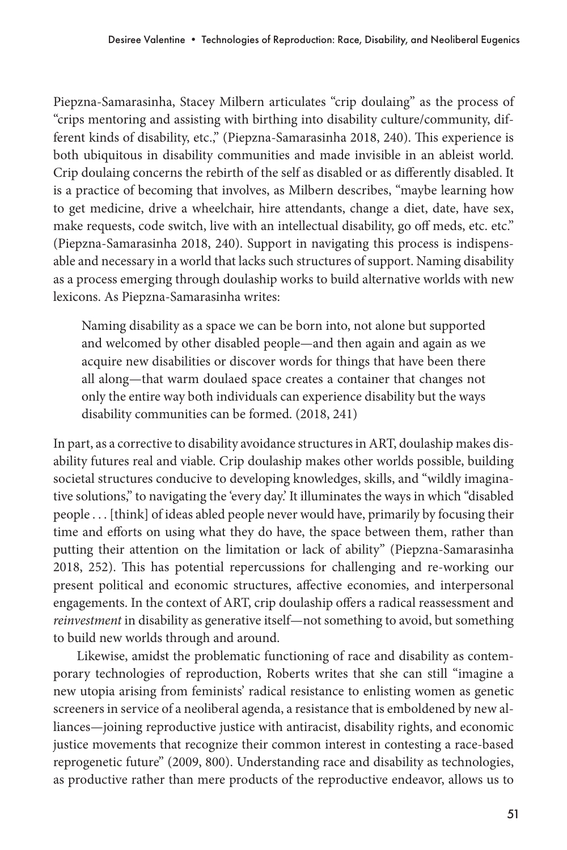Piepzna-Samarasinha, Stacey Milbern articulates "crip doulaing" as the process of "crips mentoring and assisting with birthing into disability culture/community, different kinds of disability, etc.," (Piepzna-Samarasinha 2018, 240). This experience is both ubiquitous in disability communities and made invisible in an ableist world. Crip doulaing concerns the rebirth of the self as disabled or as differently disabled. It is a practice of becoming that involves, as Milbern describes, "maybe learning how to get medicine, drive a wheelchair, hire attendants, change a diet, date, have sex, make requests, code switch, live with an intellectual disability, go off meds, etc. etc." (Piepzna-Samarasinha 2018, 240). Support in navigating this process is indispensable and necessary in a world that lacks such structures of support. Naming disability as a process emerging through doulaship works to build alternative worlds with new lexicons. As Piepzna-Samarasinha writes:

Naming disability as a space we can be born into, not alone but supported and welcomed by other disabled people—and then again and again as we acquire new disabilities or discover words for things that have been there all along—that warm doulaed space creates a container that changes not only the entire way both individuals can experience disability but the ways disability communities can be formed. (2018, 241)

In part, as a corrective to disability avoidance structures in ART, doulaship makes disability futures real and viable. Crip doulaship makes other worlds possible, building societal structures conducive to developing knowledges, skills, and "wildly imaginative solutions," to navigating the 'every day.' It illuminates the ways in which "disabled people . . . [think] of ideas abled people never would have, primarily by focusing their time and efforts on using what they do have, the space between them, rather than putting their attention on the limitation or lack of ability" (Piepzna-Samarasinha 2018, 252). This has potential repercussions for challenging and re-working our present political and economic structures, affective economies, and interpersonal engagements. In the context of ART, crip doulaship offers a radical reassessment and *reinvestment* in disability as generative itself—not something to avoid, but something to build new worlds through and around.

Likewise, amidst the problematic functioning of race and disability as contemporary technologies of reproduction, Roberts writes that she can still "imagine a new utopia arising from feminists' radical resistance to enlisting women as genetic screeners in service of a neoliberal agenda, a resistance that is emboldened by new alliances—joining reproductive justice with antiracist, disability rights, and economic justice movements that recognize their common interest in contesting a race-based reprogenetic future" (2009, 800). Understanding race and disability as technologies, as productive rather than mere products of the reproductive endeavor, allows us to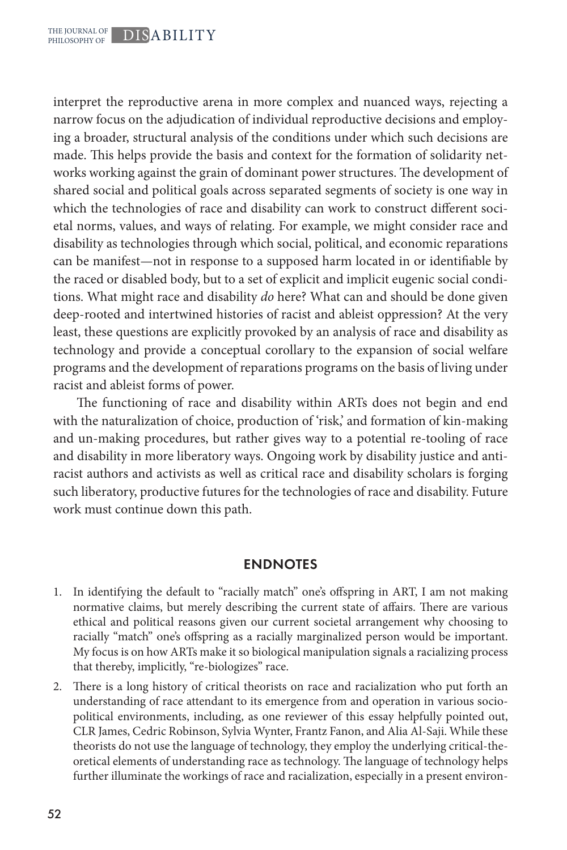interpret the reproductive arena in more complex and nuanced ways, rejecting a narrow focus on the adjudication of individual reproductive decisions and employing a broader, structural analysis of the conditions under which such decisions are made. This helps provide the basis and context for the formation of solidarity networks working against the grain of dominant power structures. The development of shared social and political goals across separated segments of society is one way in which the technologies of race and disability can work to construct different societal norms, values, and ways of relating. For example, we might consider race and disability as technologies through which social, political, and economic reparations can be manifest—not in response to a supposed harm located in or identifiable by the raced or disabled body, but to a set of explicit and implicit eugenic social conditions. What might race and disability *do* here? What can and should be done given deep-rooted and intertwined histories of racist and ableist oppression? At the very least, these questions are explicitly provoked by an analysis of race and disability as technology and provide a conceptual corollary to the expansion of social welfare programs and the development of reparations programs on the basis of living under racist and ableist forms of power.

The functioning of race and disability within ARTs does not begin and end with the naturalization of choice, production of 'risk,' and formation of kin-making and un-making procedures, but rather gives way to a potential re-tooling of race and disability in more liberatory ways. Ongoing work by disability justice and antiracist authors and activists as well as critical race and disability scholars is forging such liberatory, productive futures for the technologies of race and disability. Future work must continue down this path.

#### ENDNOTES

- 1. In identifying the default to "racially match" one's offspring in ART, I am not making normative claims, but merely describing the current state of affairs. There are various ethical and political reasons given our current societal arrangement why choosing to racially "match" one's offspring as a racially marginalized person would be important. My focus is on how ARTs make it so biological manipulation signals a racializing process that thereby, implicitly, "re-biologizes" race.
- 2. There is a long history of critical theorists on race and racialization who put forth an understanding of race attendant to its emergence from and operation in various sociopolitical environments, including, as one reviewer of this essay helpfully pointed out, CLR James, Cedric Robinson, Sylvia Wynter, Frantz Fanon, and Alia Al-Saji. While these theorists do not use the language of technology, they employ the underlying critical-theoretical elements of understanding race as technology. The language of technology helps further illuminate the workings of race and racialization, especially in a present environ-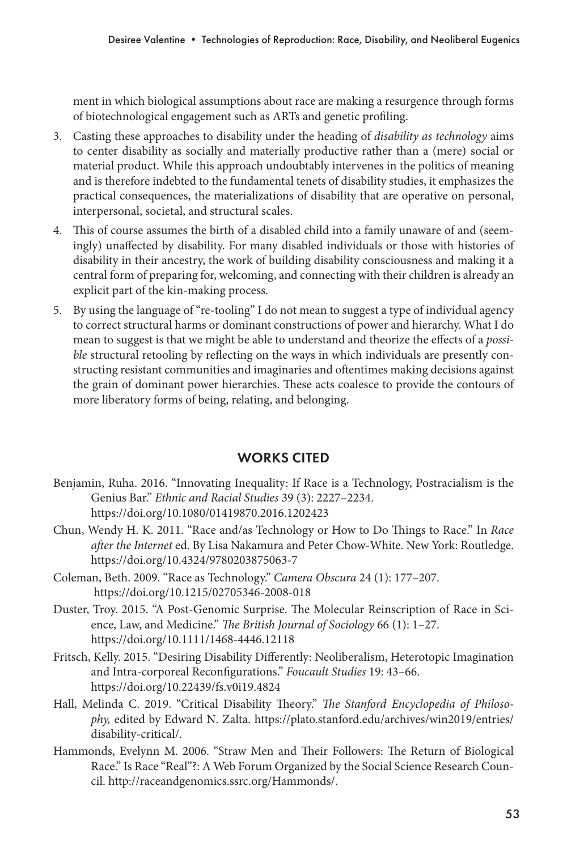ment in which biological assumptions about race are making a resurgence through forms of biotechnological engagement such as ARTs and genetic profiling.

- 3. Casting these approaches to disability under the heading of *disability as technology* aims to center disability as socially and materially productive rather than a (mere) social or material product. While this approach undoubtably intervenes in the politics of meaning and is therefore indebted to the fundamental tenets of disability studies, it emphasizes the practical consequences, the materializations of disability that are operative on personal, interpersonal, societal, and structural scales.
- 4. This of course assumes the birth of a disabled child into a family unaware of and (seemingly) unaffected by disability. For many disabled individuals or those with histories of disability in their ancestry, the work of building disability consciousness and making it a central form of preparing for, welcoming, and connecting with their children is already an explicit part of the kin-making process.
- 5. By using the language of "re-tooling" I do not mean to suggest a type of individual agency to correct structural harms or dominant constructions of power and hierarchy. What I do mean to suggest is that we might be able to understand and theorize the effects of a *possible* structural retooling by reflecting on the ways in which individuals are presently constructing resistant communities and imaginaries and oftentimes making decisions against the grain of dominant power hierarchies. These acts coalesce to provide the contours of more liberatory forms of being, relating, and belonging.

## WORKS CITED

- Benjamin, Ruha. 2016. "Innovating Inequality: If Race is a Technology, Postracialism is the Genius Bar." *Ethnic and Racial Studies* 39 (3): 2227–2234. https://doi.org/10.1080/01419870.2016.1202423
- Chun, Wendy H. K. 2011. "Race and/as Technology or How to Do Things to Race." In *Race after the Internet* ed. By Lisa Nakamura and Peter Chow-White. New York: Routledge. https://doi.org/10.4324/9780203875063-7
- Coleman, Beth. 2009. "Race as Technology." *Camera Obscura* 24 (1): 177–207. https://doi.org/10.1215/02705346-2008-018
- Duster, Troy. 2015. "A Post-Genomic Surprise. The Molecular Reinscription of Race in Science, Law, and Medicine." *The British Journal of Sociology* 66 (1): 1–27. https://doi.org/10.1111/1468-4446.12118
- Fritsch, Kelly. 2015. "Desiring Disability Differently: Neoliberalism, Heterotopic Imagination and Intra-corporeal Reconfigurations." *Foucault Studies* 19: 43–66. https://doi.org/10.22439/fs.v0i19.4824
- Hall, Melinda C. 2019. "Critical Disability Theory." *The Stanford Encyclopedia of Philosophy,* edited by Edward N. Zalta. https://plato.stanford.edu/archives/win2019/entries/ disability-critical/.
- Hammonds, Evelynn M. 2006. "Straw Men and Their Followers: The Return of Biological Race." Is Race "Real"?: A Web Forum Organized by the Social Science Research Council. http://raceandgenomics.ssrc.org/Hammonds/.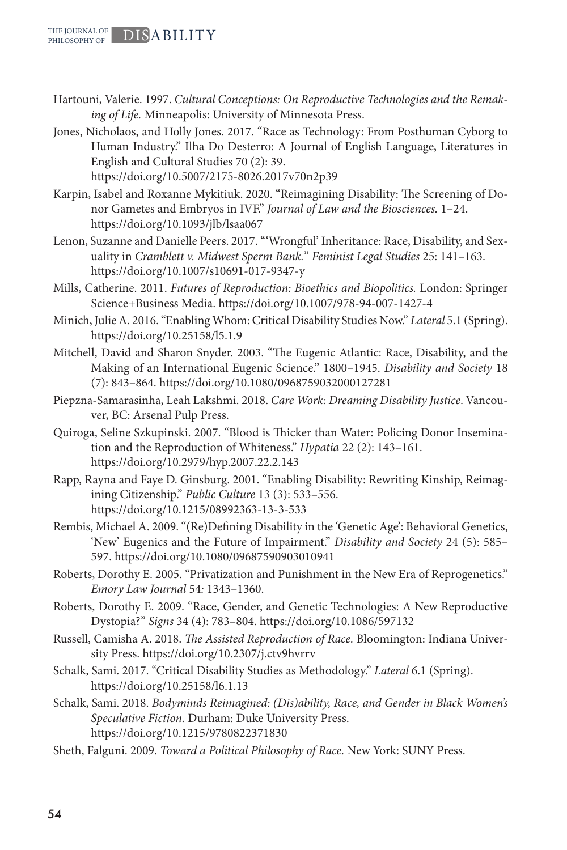- Hartouni, Valerie. 1997. *Cultural Conceptions: On Reproductive Technologies and the Remaking of Life.* Minneapolis: University of Minnesota Press.
- Jones, Nicholaos, and Holly Jones. 2017. "Race as Technology: From Posthuman Cyborg to Human Industry." Ilha Do Desterro: A Journal of English Language, Literatures in English and Cultural Studies 70 (2): 39. https://doi.org/10.5007/2175-8026.2017v70n2p39

Karpin, Isabel and Roxanne Mykitiuk. 2020. "Reimagining Disability: The Screening of Donor Gametes and Embryos in IVF." *Journal of Law and the Biosciences.* 1–24. https://doi.org/10.1093/jlb/lsaa067

- Lenon, Suzanne and Danielle Peers. 2017. "'Wrongful' Inheritance: Race, Disability, and Sexuality in *Cramblett v. Midwest Sperm Bank.*" *Feminist Legal Studies* 25: 141–163. https://doi.org/10.1007/s10691-017-9347-y
- Mills, Catherine. 2011. *Futures of Reproduction: Bioethics and Biopolitics.* London: Springer Science+Business Media. https://doi.org/10.1007/978-94-007-1427-4
- Minich, Julie A. 2016. "Enabling Whom: Critical Disability Studies Now." *Lateral* 5.1 (Spring). https://doi.org/10.25158/l5.1.9
- Mitchell, David and Sharon Snyder. 2003. "The Eugenic Atlantic: Race, Disability, and the Making of an International Eugenic Science." 1800–1945. *Disability and Society* 18 (7): 843–864. https://doi.org/10.1080/0968759032000127281
- Piepzna-Samarasinha, Leah Lakshmi. 2018. *Care Work: Dreaming Disability Justice*. Vancouver, BC: Arsenal Pulp Press.
- Quiroga, Seline Szkupinski. 2007. "Blood is Thicker than Water: Policing Donor Insemination and the Reproduction of Whiteness." *Hypatia* 22 (2): 143–161. https://doi.org/10.2979/hyp.2007.22.2.143
- Rapp, Rayna and Faye D. Ginsburg. 2001. "Enabling Disability: Rewriting Kinship, Reimagining Citizenship." *Public Culture* 13 (3): 533–556. https://doi.org/10.1215/08992363-13-3-533
- Rembis, Michael A. 2009. "(Re)Defining Disability in the 'Genetic Age': Behavioral Genetics, 'New' Eugenics and the Future of Impairment." *Disability and Society* 24 (5): 585– 597. https://doi.org/10.1080/09687590903010941
- Roberts, Dorothy E. 2005. "Privatization and Punishment in the New Era of Reprogenetics." *Emory Law Journal* 54*:* 1343–1360.
- Roberts, Dorothy E. 2009. "Race, Gender, and Genetic Technologies: A New Reproductive Dystopia?" *Signs* 34 (4): 783–804. https://doi.org/10.1086/597132
- Russell, Camisha A. 2018. *The Assisted Reproduction of Race.* Bloomington: Indiana University Press. https://doi.org/10.2307/j.ctv9hvrrv
- Schalk, Sami. 2017. "Critical Disability Studies as Methodology." *Lateral* 6.1 (Spring). https://doi.org/10.25158/l6.1.13
- Schalk, Sami. 2018. *Bodyminds Reimagined: (Dis)ability, Race, and Gender in Black Women's Speculative Fiction.* Durham: Duke University Press. https://doi.org/10.1215/9780822371830
- Sheth, Falguni. 2009. *Toward a Political Philosophy of Race.* New York: SUNY Press.